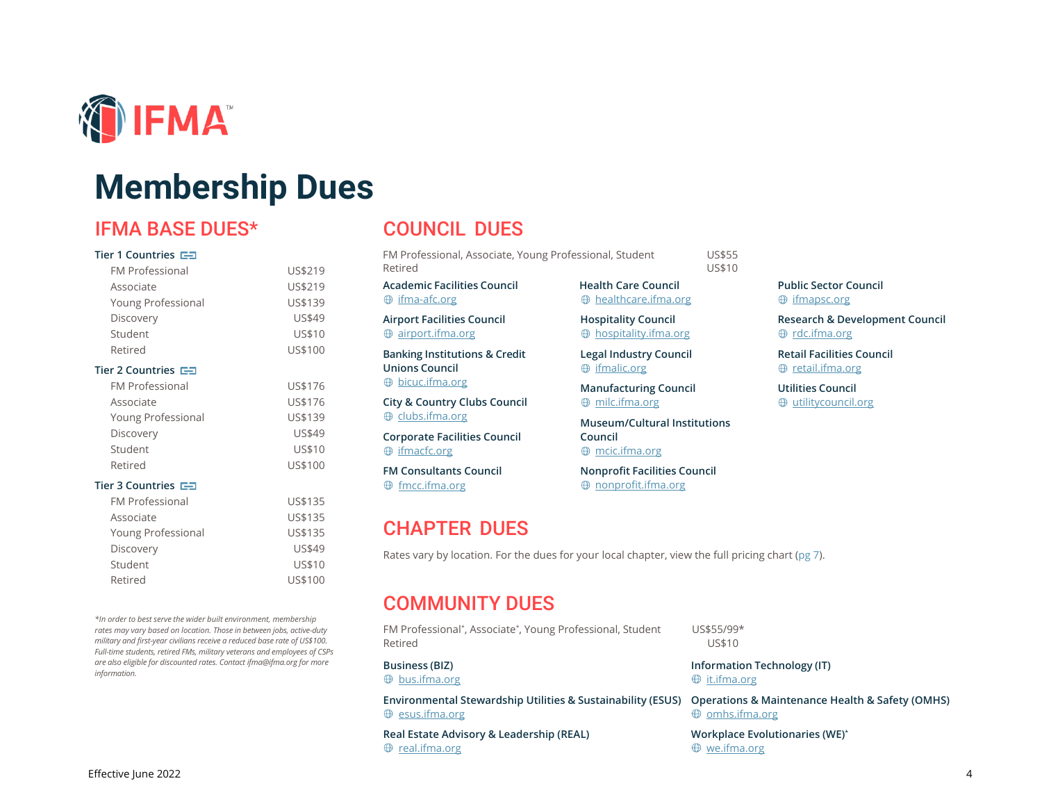

# **Membership Dues**

## IFMA BASE DUES\*

#### **Tier 1 Countries**

| <b>FM Professional</b>                 | US\$219 |
|----------------------------------------|---------|
| Associate                              | US\$219 |
| Young Professional                     | US\$139 |
| Discovery                              | US\$49  |
| Student                                | US\$10  |
| Retired                                | US\$100 |
| Tier 2 Countries <b>더</b>              |         |
| <b>FM Professional</b>                 | US\$176 |
| Associate                              | US\$176 |
| Young Professional                     | US\$139 |
| Discovery                              | US\$49  |
| Student                                | US\$10  |
| Retired                                | US\$100 |
| Tier 3 Countries $\blacktriangleright$ |         |
| <b>FM Professional</b>                 | US\$135 |
| Associate                              | US\$135 |
| Young Professional                     | US\$135 |
| Discovery                              | US\$49  |
| Student                                | US\$10  |
| Retired                                | US\$100 |
|                                        |         |

*\*In order to best serve the wider built environment, membership rates may vary based on location. Those in between jobs, active-duty military and first-year civilians receive a reduced base rate of US\$100. Full-time students, retired FMs, military veterans and employees of CSPs are also eligible for discounted rates. Contac[t ifma@ifma.org](mailto:ifma@ifma.org) for more information.*

## COUNCIL DUES

FM Professional, Associate, Young Professional, Student US\$55 Retired US\$10

**Academic Facilities Council**  $oplus$  [ifma-afc.org](https://ifma-afc.org/)

**Airport Facilities Council**  $\oplus$  [airport.ifma.org](http://airport.ifma.org/)

**Banking Institutions & Credit Unions Council**  $\oplus$  [bicuc.ifma.org](http://bicuc.ifma.org/)

**City & Country Clubs Council**  $\oplus$  [clubs.ifma.org](http://clubs.ifma.org/)

**Corporate Facilities Council**  $\oplus$  [ifmacfc.org](http://www.ifmacfc.org/)

CHAPTER DUES

**FM Consultants Council**  $\oplus$  fmcc.ifm[a.org](http://www.fmcc.ifma.org/)

**Health Care Council** [healthcare.ifma.org](https://healthcare.ifma.org/)

**Hospitality Council**  $\oplus$  [hospitality.ifma.org](http://hospitality.ifma.org/)

**Legal Industry Council**  $<sup>①</sup>$  [ifmalic.org](http://www.ifmalic.org/)</sup>

**Manufacturing Council**  $\oplus$  [milc.ifma.org](http://milc.ifma.org/)

**Museum/Cultural Institutions Council** [mcic.ifma.org](http://mcic.ifma.org/)

**Nonprofit Facilities Council** nonp[rofit.ifma.org](https://nonprofit.ifma.org/)

**Public Sector Council**  $oplus$  [ifmapsc.org](http://www.ifmapsc.org/)

**Research & Development Council ⊕** [rdc.ifma.org](http://rdc.ifma.org/)

**Retail Facilities Council ⊕** [retail.ifma.org](https://retail.ifma.org/)

**Utilities Council**  $\oplus$  utilit[ycouncil.org](http://www.utilitycouncil.org/)

Rates vary by location. For the dues for your local chapter, view the full pricing chart (pg 7).

## COMMUNITY DUES

FM Professional\* , Associate\* , Young Professional, Student US\$55/99\* Retired US\$10

 $\oplus$  [bus.ifma.org](http://bus.ifma.org/) i[t.ifma.org](http://it.ifma.org/) it.ifma.org

 $\oplus$  esu[s.ifma.org](http://omhs.ifma.org/)  $\oplus$  omhs.ifma.org

**Real Estate Advisory & Leadership (REAL) Workplace Evolutionaries (WE)\***  $\oplus$  re[al.ifma.org](http://real.ifma.org/)  $\oplus$  w[e.ifma.org](http://we.ifma.org/)

**Business (BIZ) Information Technology (IT)**

**Environmental Stewardship Utilities & Sustainability (ESUS) Operations & Maintenance Health & Safety (OMHS)**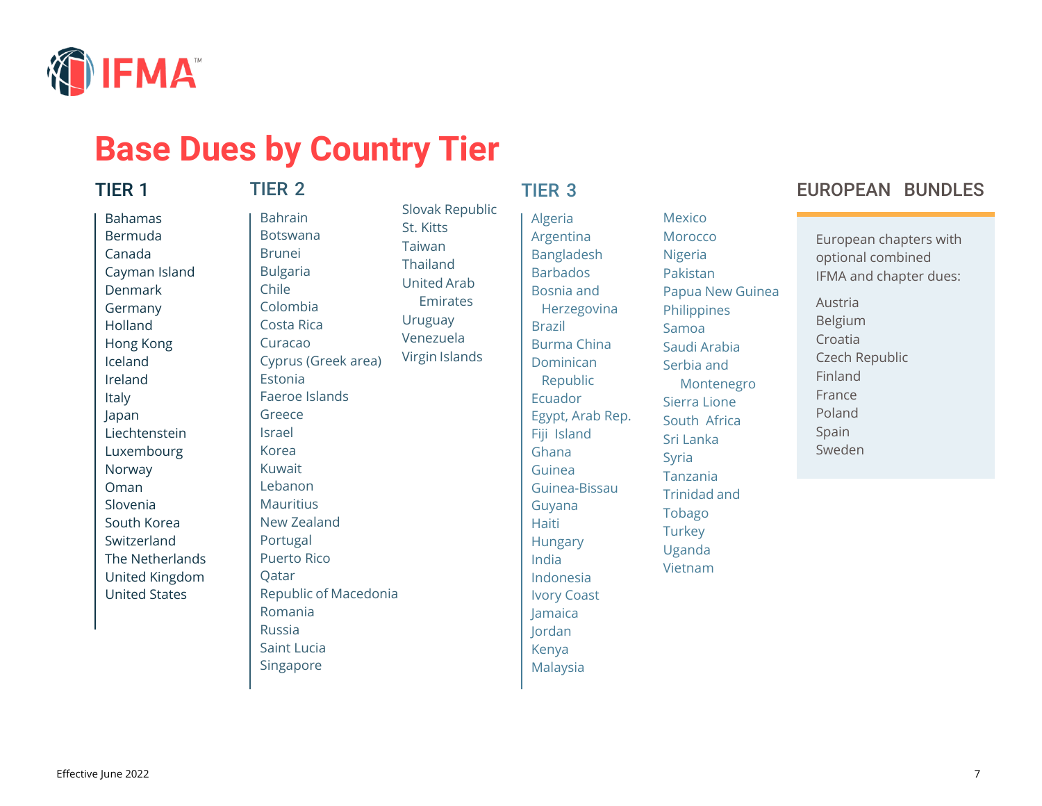

# **Base Dues by Country Tier**

### TIER 1

## TIER 2

Bahamas Bermuda Canada Cayman Island Denmark Germany Holland Hong Kong Iceland Ireland Italy Japan Liechtenstein Luxembourg Norway Oman Slovenia South Korea Switzerland The Netherlands United Kingdom United States

Bahrain Botswana Brunei Bulgaria Chile Colombia Costa Rica Curacao Cyprus (Greek area) Estonia Faeroe Islands Greece Israel Korea Kuwait Lebanon Mauritius New Zealand Portugal Puerto Rico **O**atar Republic of Macedonia Romania Russia Saint Lucia

Singapore

## TIER 3

Slovak Republic

St. Kitts Taiwan Thailand United Arab **Emirates** 

Uruguay Venezuela Virgin Islands Algeria Argentina Bangladesh Barbados Bosnia and Herzegovina Brazil Burma China Dominican Republic Ecuador Egypt, Arab Rep. Fiji Island Ghana Guinea Guinea-Bissau Guyana Haiti Hungary India Indonesia Ivory Coast Jamaica Jordan Kenya Malaysia

Mexico **Morocco** Nigeria Pakistan Papua New Guinea **Philippines** Samoa Saudi Arabia Serbia and Montenegro Sierra Lione South Africa Sri Lanka Syria Tanzania Trinidad and Tobago **Turkey** Uganda Vietnam

## EUROPEAN BUNDLES

European chapters with optional combined IFMA and chapter dues: Austria Belgium Croatia Czech Republic Finland France

Poland Spain Sweden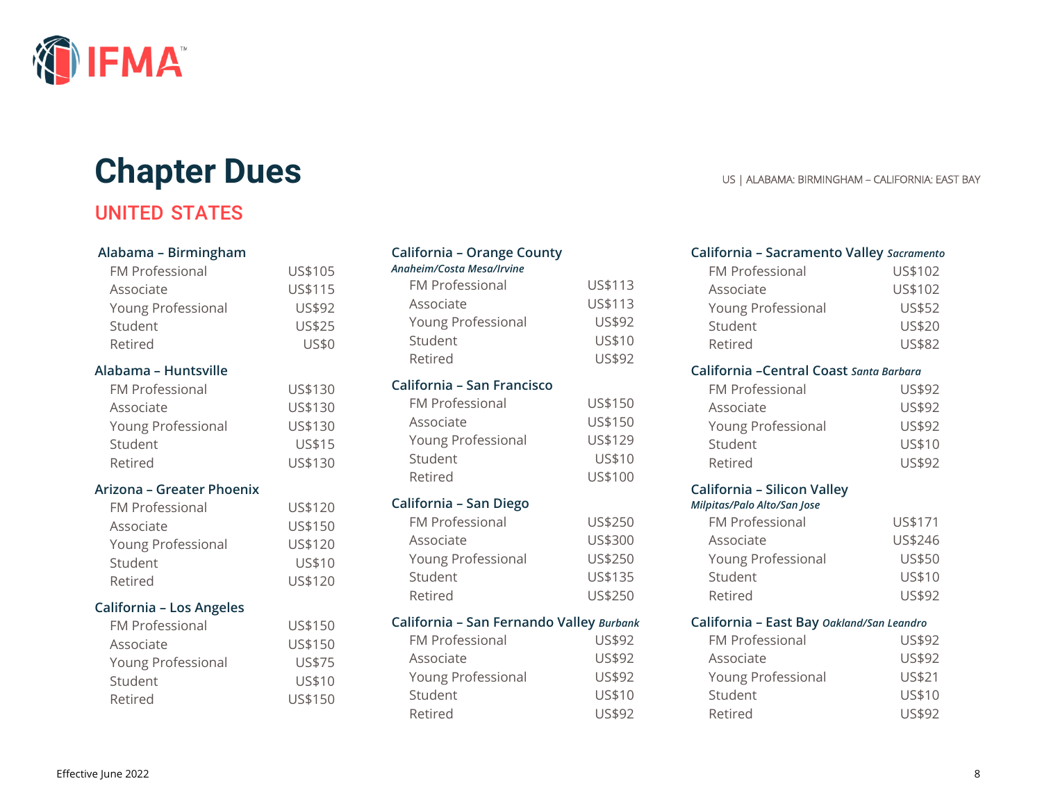

# **Chapter Dues** US | ALABAMA: BIRMINGHAM – CALIFORNIA: EAST BAY

# UNITED STATES

#### **Alabama – Birmingham**

| <b>FM Professional</b><br>Associate<br>Young Professional<br>Student<br>Retired | US\$105<br>US\$115<br>US\$92<br>US\$25<br><b>US\$0</b> |
|---------------------------------------------------------------------------------|--------------------------------------------------------|
| Alabama – Huntsville                                                            |                                                        |
| <b>FM Professional</b>                                                          | US\$130                                                |
| Associate                                                                       | US\$130                                                |
| Young Professional                                                              | US\$130                                                |
| Student                                                                         | US\$15                                                 |
| Retired                                                                         | US\$130                                                |
| Arizona – Greater Phoenix                                                       |                                                        |
| <b>FM Professional</b>                                                          | US\$120                                                |
| Associate                                                                       | US\$150                                                |
| Young Professional                                                              | US\$120                                                |
| Student                                                                         | US\$10                                                 |
| Retired                                                                         | US\$120                                                |
| California - Los Angeles                                                        |                                                        |
| FM Professional                                                                 | US\$150                                                |
| Associate                                                                       | US\$150                                                |
| Young Professional                                                              | US\$75                                                 |
| Student                                                                         | US\$10                                                 |
| Retired                                                                         | US\$150                                                |
|                                                                                 |                                                        |

## **California – Orange County** *Anaheim/Costa Mesa/Irvine*

| <b>FM Professional</b> | US\$113 |
|------------------------|---------|
| Associate              | US\$113 |
| Young Professional     | US\$92  |
| Student                | US\$10  |
| Retired                | US\$92  |

#### **California – San Francisco**

| <b>FM Professional</b> | US\$150 |
|------------------------|---------|
| Associate              | US\$150 |
| Young Professional     | US\$129 |
| Student                | US\$10  |
| Retired                | US\$100 |
|                        |         |

#### **California – San Diego**

| <b>FM Professional</b> | US\$250 |
|------------------------|---------|
| Associate              | US\$300 |
| Young Professional     | US\$250 |
| Student                | US\$135 |
| Retired                | US\$250 |
|                        |         |

#### **California – San Fernando Valley** *Burbank*

| <b>FM Professional</b> | US\$92 |
|------------------------|--------|
| Associate              | US\$92 |
| Young Professional     | US\$92 |
| Student                | US\$10 |
| Retired                | US\$92 |

### **California – Sacramento Valley** *Sacramento* FM Professional US\$102 Associate US\$102 Young Professional US\$52 Student US\$20 Retired US\$82 **California –Central Coast** *Santa Barbara* FM Professional US\$92 Associate US\$92 Young Professional US\$92 Student US\$10 Retired US\$92 **California – Silicon Valley**  *Milpitas/Palo Alto/San Jose* FM Professional US\$171 Associate US\$246 Young Professional US\$50 Student US\$10 Retired US\$92 **California – East Bay** *Oakland/San Leandro* FM Professional US\$92 Associate US\$92 Young Professional US\$21 Student US\$10

Retired US\$92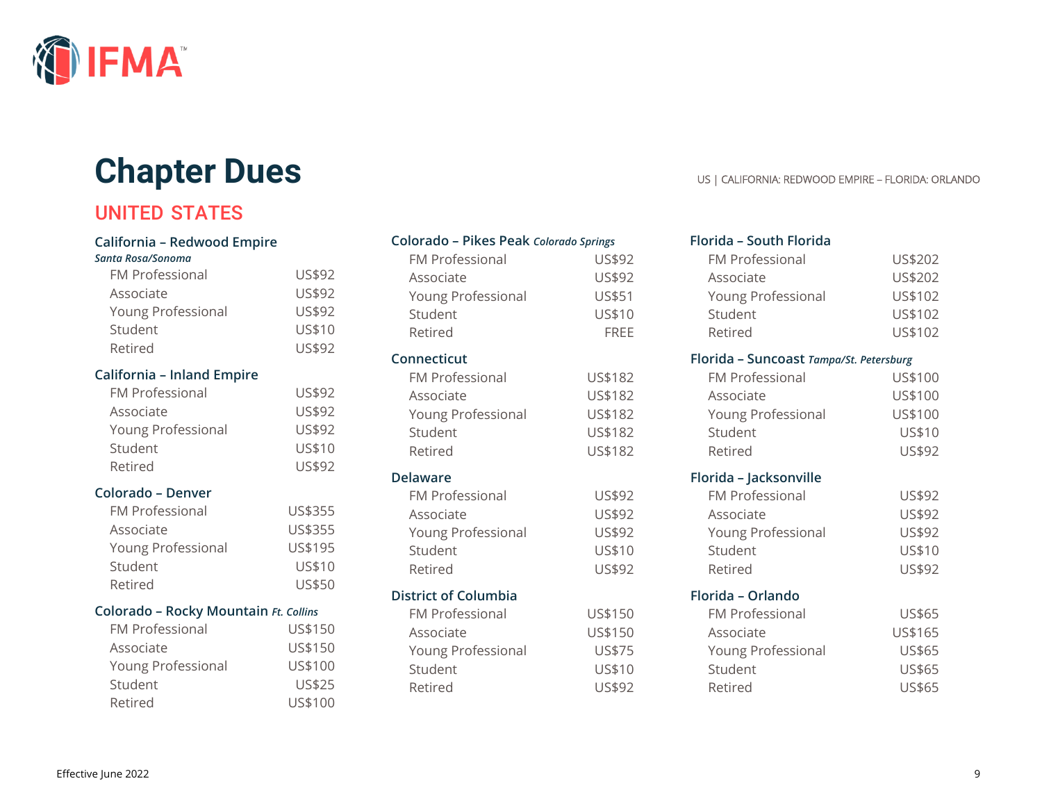

# **Chapter Dues** US | CALIFORNIA: REDWOOD EMPIRE – FLORIDA: ORLANDO

# UNITED STATES

#### **California – Redwood Empire**

#### *Santa Rosa/Sonoma*

| <b>FM Professional</b>                | US\$92  |
|---------------------------------------|---------|
| Associate                             | US\$92  |
| Young Professional                    | US\$92  |
| Student                               | US\$10  |
| Retired                               | US\$92  |
| California - Inland Empire            |         |
| <b>FM Professional</b>                | US\$92  |
| Associate                             | US\$92  |
| Young Professional                    | US\$92  |
| Student                               | US\$10  |
| Retired                               | US\$92  |
| Colorado - Denver                     |         |
| <b>FM Professional</b>                | US\$355 |
| Associate                             | US\$355 |
| Young Professional                    | US\$195 |
| Student                               | US\$10  |
| Retired                               | US\$50  |
| Colorado - Rocky Mountain Ft. Collins |         |
| <b>FM Professional</b>                | US\$150 |
| Associate                             | US\$150 |
| Young Professional                    | US\$100 |
| Student                               | US\$25  |
| Retired                               | US\$100 |

## **Colorado – Pikes Peak** *Colorado Springs*

| <b>FM Professional</b>      | US\$92      |
|-----------------------------|-------------|
| Associate                   | US\$92      |
| Young Professional          | US\$51      |
| Student                     | US\$10      |
| Retired                     | <b>FREE</b> |
| Connecticut                 |             |
| <b>FM Professional</b>      | US\$182     |
| Associate                   | US\$182     |
| Young Professional          | US\$182     |
| Student                     | US\$182     |
| Retired                     | US\$182     |
| <b>Delaware</b>             |             |
| FM Professional             | US\$92      |
| Associate                   | US\$92      |
| Young Professional          | US\$92      |
| Student                     | US\$10      |
| Retired                     | US\$92      |
| <b>District of Columbia</b> |             |
| <b>FM Professional</b>      | US\$150     |
| Associate                   | US\$150     |
| Young Professional          | US\$75      |
| Student                     | US\$10      |
| Retired                     | US\$92      |
|                             |             |

## **Florida – South Florida** FM Professional US\$202 Associate US\$202 Young Professional US\$102 Student US\$102 Retired US\$102 **Florida – Suncoast** *Tampa/St. Petersburg* FM Professional US\$100 Associate US\$100 Young Professional US\$100 Student US\$10 Retired US\$92 **Florida – Jacksonville** FM Professional US\$92 Associate US\$92 Young Professional US\$92 Student US\$10 Retired US\$92 **Florida – Orlando** FM Professional US\$65 Associate US\$165 Young Professional US\$65 Student US\$65 Retired US\$65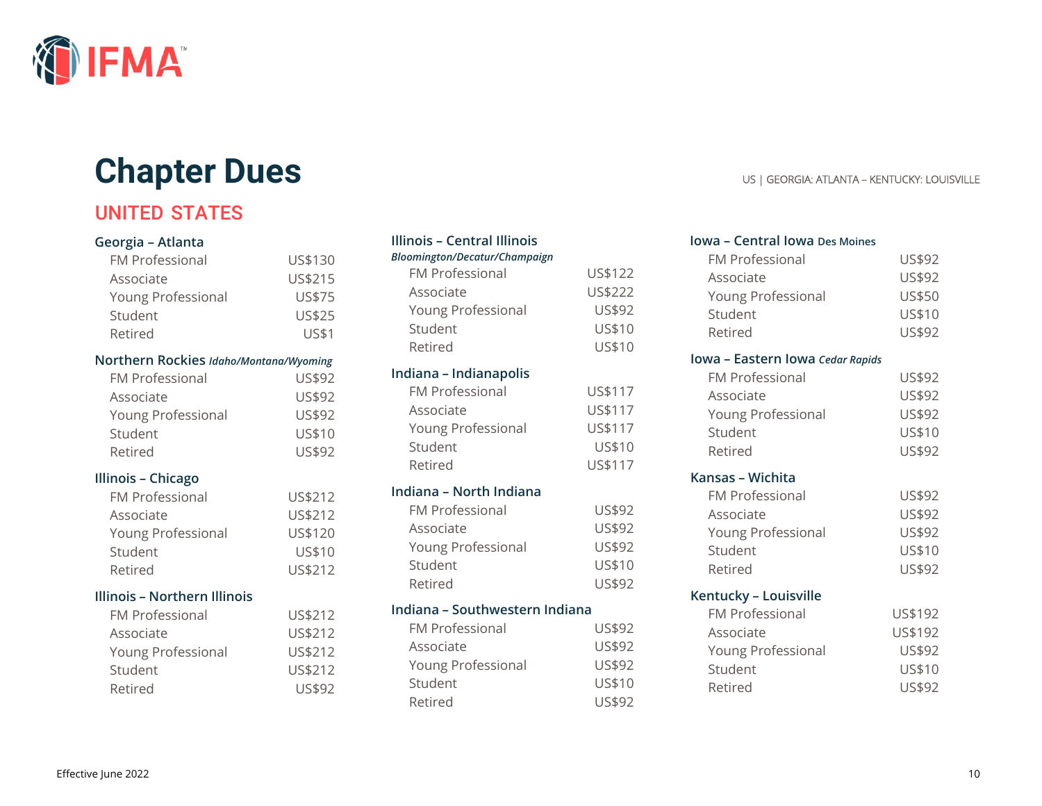

# **Chapter Dues** US | GEORGIA: ATLANTA – KENTUCKY: LOUISVILLE

# UNITED STATES

#### **Georgia – Atlanta**

| <b>FM Professional</b> | US\$130       |
|------------------------|---------------|
| Associate              | US\$215       |
| Young Professional     | US\$75        |
| Student                | <b>US\$25</b> |
| Retired                | US\$1         |
|                        |               |

#### **Northern Rockies** *Idaho/Montana/Wyoming*

| <b>FM Professional</b> | US\$92 |
|------------------------|--------|
| Associate              | US\$92 |
| Young Professional     | US\$92 |
| Student                | US\$10 |
| Retired                | US\$92 |

#### **Illinois – Chicago**

| <b>FM Professional</b> | US\$212 |
|------------------------|---------|
| Associate              | US\$212 |
| Young Professional     | US\$120 |
| Student                | US\$10  |
| Retired                | US\$212 |

#### **Illinois – Northern Illinois**

| <b>FM Professional</b> | US\$212 |
|------------------------|---------|
| Associate              | US\$212 |
| Young Professional     | US\$212 |
| Student                | US\$212 |
| Retired                | US\$92  |

# **Illinois – Central Illinois**  *Bloomington/Decatur/Champaign*

| DIUUIIIIIIgtUH/Decutur/Chumpuigh |         |
|----------------------------------|---------|
| <b>FM Professional</b>           | US\$122 |
| Associate                        | US\$222 |
| Young Professional               | US\$92  |
| Student                          | US\$10  |
| Retired                          | US\$10  |
| Indiana - Indianapolis           |         |
| FM Professional                  | US\$117 |
| Associate                        | US\$117 |
| Young Professional               | US\$117 |
| Student                          | US\$10  |
| Retired                          | US\$117 |
| Indiana - North Indiana          |         |
| FM Professional                  | US\$92  |
| Associate                        | US\$92  |
| Young Professional               | US\$92  |
| Student                          | US\$10  |
| Retired                          | US\$92  |
| Indiana - Southwestern Indiana   |         |
| FM Professional                  | US\$92  |
| Associate                        | US\$92  |
| Young Professional               | US\$92  |
| Student                          | US\$10  |
| Retired                          | US\$92  |

### **Iowa – Central Iowa Des Moines** FM Professional US\$92 Associate US\$92 Young Professional US\$50 Student US\$10 Retired US\$92 **Iowa – Eastern Iowa** *Cedar Rapids* FM Professional US\$92 Associate US\$92 Young Professional US\$92 Student US\$10 Retired US\$92 **Kansas – Wichita** FM Professional US\$92 Associate US\$92 Young Professional US\$92 Student US\$10 Retired US\$92 **Kentucky – Louisville** FM Professional US\$192 Associate US\$192 Young Professional US\$92 Student US\$10 Retired US\$92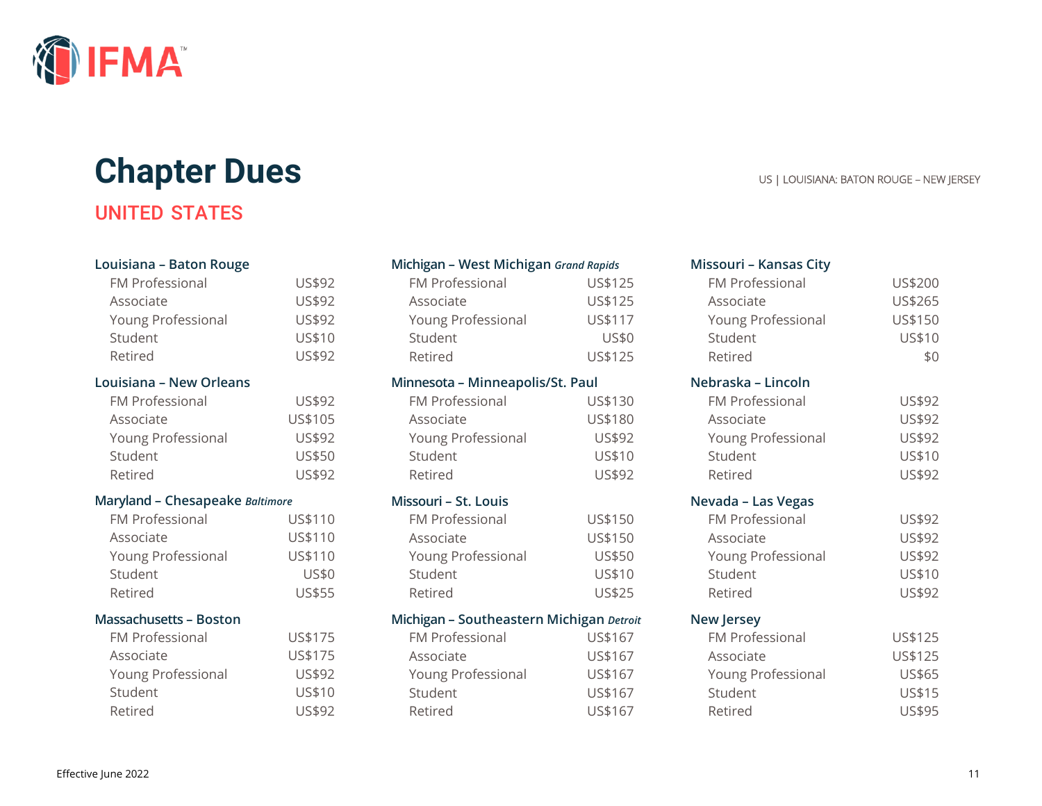

# **Chapter Dues** US | LOUISIANA: BATON ROUGE – NEW JERSEY

# UNITED STATES

| Louisiana - Baton Rouge         |              |
|---------------------------------|--------------|
| <b>FM Professional</b>          | US\$92       |
| Associate                       | US\$92       |
| Young Professional              | US\$92       |
| Student                         | US\$10       |
| Retired                         | US\$92       |
| Louisiana - New Orleans         |              |
| <b>FM Professional</b>          | US\$92       |
| Associate                       | US\$105      |
| Young Professional              | US\$92       |
| Student                         | US\$50       |
| Retired                         | US\$92       |
| Maryland - Chesapeake Baltimore |              |
|                                 |              |
| <b>FM Professional</b>          | US\$110      |
| Associate                       | US\$110      |
| Young Professional              | US\$110      |
| Student                         | <b>US\$0</b> |
| Retired                         | US\$55       |
| <b>Massachusetts - Boston</b>   |              |
| FM Professional                 | US\$175      |
| Associate                       | US\$175      |
| Young Professional              | US\$92       |
| Student                         | US\$10       |

| Michigan - West Michigan Grand Rapids |  |  |  |
|---------------------------------------|--|--|--|
|---------------------------------------|--|--|--|

| <b>FM Professional</b> | US\$125      |
|------------------------|--------------|
| Associate              | US\$125      |
| Young Professional     | US\$117      |
| Student                | <b>US\$0</b> |
| Retired                | US\$125      |

| Minnesota - Minneapolis/St. Paul |  |  |  |
|----------------------------------|--|--|--|
|----------------------------------|--|--|--|

| <b>FM Professional</b> | US\$130 |
|------------------------|---------|
| Associate              | US\$180 |
| Young Professional     | US\$92  |
| Student                | US\$10  |
| Retired                | US\$92  |

#### **Missouri – St. Louis**

| <b>FM Professional</b> | US\$150 |
|------------------------|---------|
| Associate              | US\$150 |
| Young Professional     | US\$50  |
| Student                | US\$10  |
| Retired                | US\$25  |
|                        |         |

#### **Michigan – Southeastern Michigan** *Detroit*

| <b>FM Professional</b> | US\$167 |
|------------------------|---------|
| Associate              | US\$167 |
| Young Professional     | US\$167 |
| Student                | US\$167 |
| Retired                | US\$167 |

#### **Missouri – Kansas City**

| <b>FM Professional</b> | US\$200 |
|------------------------|---------|
| Associate              | US\$265 |
| Young Professional     | US\$150 |
| Student                | US\$10  |
| Retired                | \$0     |
| Nebraska – Lincoln     |         |
| <b>FM Professional</b> | US\$92  |
| Associate              | US\$92  |
| Young Professional     | US\$92  |
| Student                | US\$10  |
| Retired                | US\$92  |
| Nevada - Las Vegas     |         |
| <b>FM Professional</b> | US\$92  |
| Associate              | US\$92  |
| Young Professional     | US\$92  |
| Student                | US\$10  |
| Retired                | US\$92  |
| <b>New Jersey</b>      |         |
| <b>FM Professional</b> | US\$125 |
| Associate              | US\$125 |
| Young Professional     | US\$65  |
| Student                | US\$15  |
| Retired                | US\$95  |
|                        |         |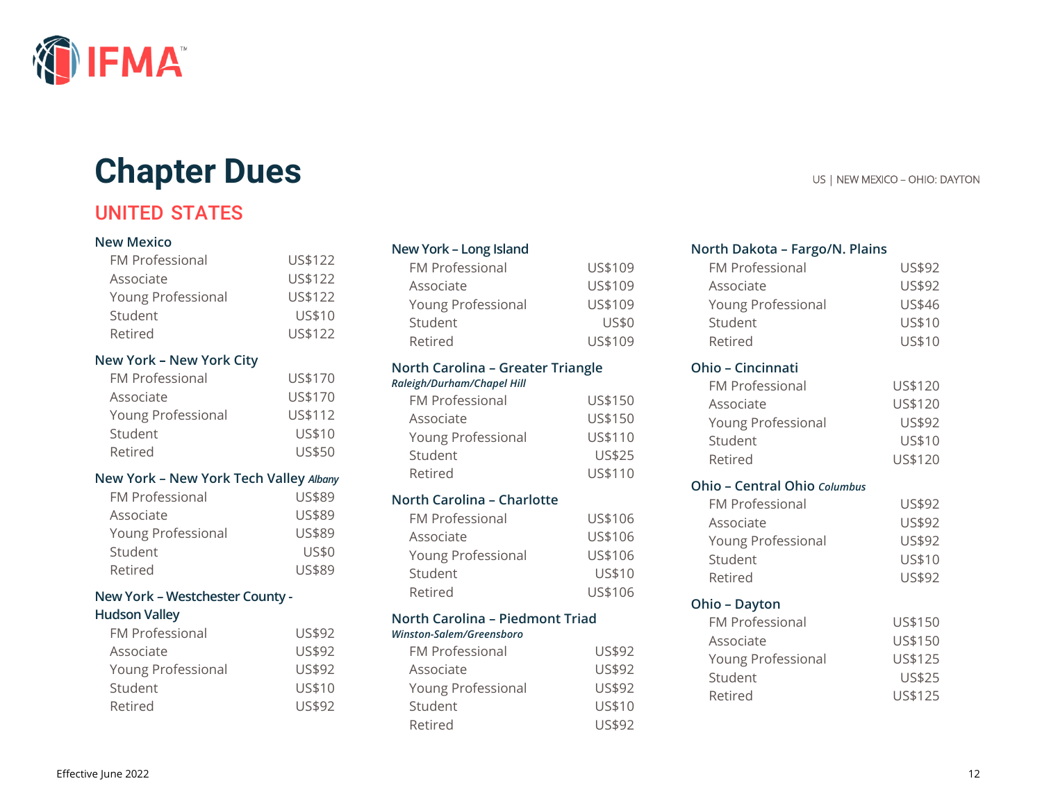

# **Chapter Dues** US | NEW MEXICO – OHIO: DAYTON

# UNITED STATES

#### **New Mexico**

| <b>FM Professional</b> | US\$122 |
|------------------------|---------|
| Associate              | US\$122 |
| Young Professional     | US\$122 |
| Student                | US\$10  |
| Retired                | US\$122 |

#### **New York – New York City**

| <b>FM Professional</b> | US\$170       |
|------------------------|---------------|
| Associate              | US\$170       |
| Young Professional     | US\$112       |
| Student                | US\$10        |
| Retired                | <b>US\$50</b> |

#### **New York – New York Tech Valley** *Albany*

| <b>FM Professional</b> | US\$89 |
|------------------------|--------|
| Associate              | US\$89 |
| Young Professional     | US\$89 |
| Student                | US\$0  |
| Retired                | US\$89 |

#### **New York – Westchester County -**

#### **Hudson Valley**

| US\$92 |
|--------|
| US\$92 |
| US\$92 |
| US\$10 |
| US\$92 |
|        |

#### **New York – Long Island**

| <b>FM Professional</b>    | US\$109      |
|---------------------------|--------------|
| Associate                 | US\$109      |
| <b>Young Professional</b> | US\$109      |
| Student                   | <b>US\$0</b> |
| Retired                   | US\$109      |

### **North Carolina – Greater Triangle**

#### *Raleigh/Durham/Chapel Hill*

| <b>FM Professional</b> | US\$150       |
|------------------------|---------------|
| Associate              | US\$150       |
| Young Professional     | US\$110       |
| Student                | <b>US\$25</b> |
| Retired                | US\$110       |

#### **North Carolina – Charlotte**

| <b>FM Professional</b> | US\$106 |
|------------------------|---------|
| Associate              | US\$106 |
| Young Professional     | US\$106 |
| Student                | US\$10  |
| Retired                | US\$106 |
|                        |         |

#### **North Carolina – Piedmont Triad** *Winston-Salem/Greensboro*

| <b>FM Professional</b> | US\$92        |
|------------------------|---------------|
| Associate              | US\$92        |
| Young Professional     | US\$92        |
| Student                | US\$10        |
| Retired                | <b>US\$92</b> |

### **North Dakota – Fargo/N. Plains**

| <b>FM Professional</b>              | US\$92  |
|-------------------------------------|---------|
| Associate                           | US\$92  |
| Young Professional                  | US\$46  |
| Student                             | US\$10  |
| Retired                             | US\$10  |
| <b>Ohio - Cincinnati</b>            |         |
| <b>FM Professional</b>              | US\$120 |
| Associate                           | US\$120 |
| Young Professional                  | US\$92  |
| Student                             | US\$10  |
| Retired                             | US\$120 |
| <b>Ohio - Central Ohio Columbus</b> |         |
| <b>FM Professional</b>              | US\$92  |
| Associate                           | US\$92  |
| Young Professional                  | US\$92  |
| Student                             | US\$10  |
| Retired                             | US\$92  |
| Ohio – Dayton                       |         |
| <b>FM Professional</b>              | US\$150 |
| Associate                           | US\$150 |
| Young Professional                  | US\$125 |
| Student                             | US\$25  |
| Retired                             | US\$125 |
|                                     |         |
|                                     |         |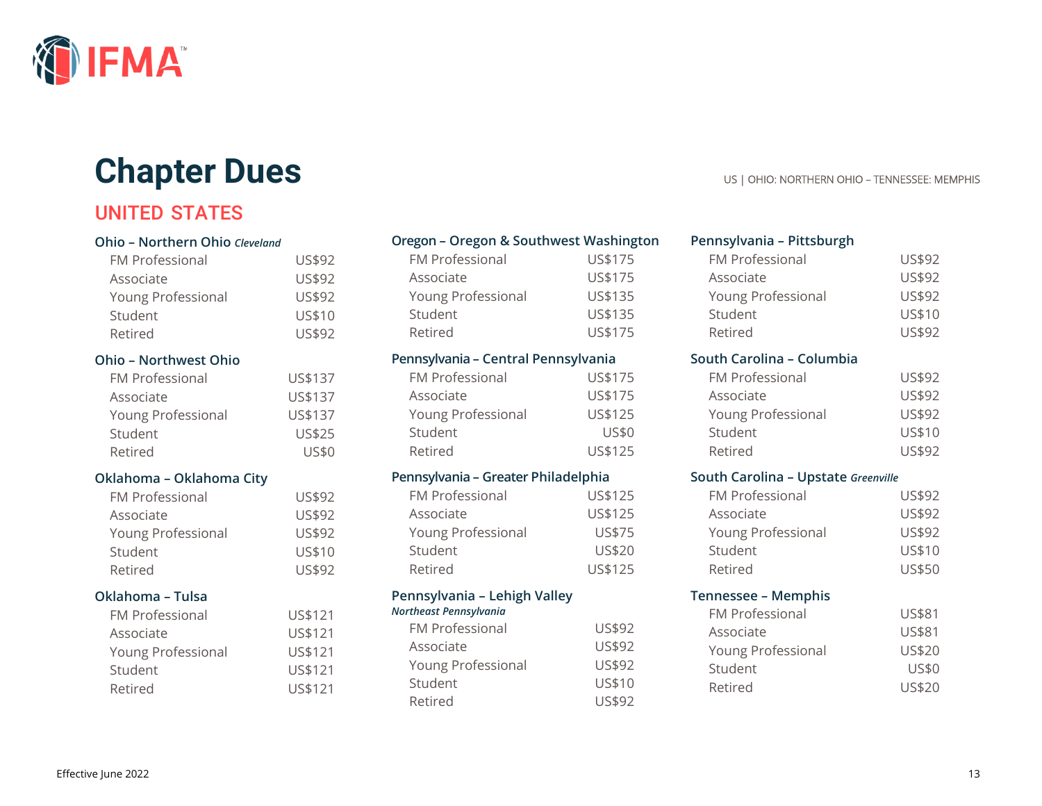

# **Chapter Dues** US | OHIO: NORTHERN OHIO – TENNESSEE: MEMPHIS

# UNITED STATES

| Ohio - Northern Ohio Cleveland |              |
|--------------------------------|--------------|
| <b>FM Professional</b>         | US\$92       |
| Associate                      | US\$92       |
| Young Professional             | US\$92       |
| Student                        | US\$10       |
| Retired                        | US\$92       |
| <b>Ohio - Northwest Ohio</b>   |              |
| <b>FM Professional</b>         | US\$137      |
| Associate                      | US\$137      |
| Young Professional             | US\$137      |
| Student                        | US\$25       |
| Retired                        | <b>US\$0</b> |
| Oklahoma - Oklahoma City       |              |
| <b>FM Professional</b>         | US\$92       |
| Associate                      | US\$92       |
| Young Professional             | US\$92       |
| Student                        | US\$10       |
| Retired                        | US\$92       |
| Oklahoma - Tulsa               |              |
| <b>FM Professional</b>         | US\$121      |
| Associate                      | US\$121      |
| Young Professional             | US\$121      |
| Student                        | US\$121      |
| Retired                        | US\$121      |
|                                |              |

### **Oregon – Oregon & Southwest Washington**

| <b>FM Professional</b> | US\$175 |
|------------------------|---------|
| Associate              | US\$175 |
| Young Professional     | US\$135 |
| Student                | US\$135 |
| Retired                | US\$175 |

### **Pennsylvania – Central Pennsylvania**

| <b>FM Professional</b> | US\$175 |
|------------------------|---------|
| Associate              | US\$175 |
| Young Professional     | US\$125 |
| Student                | US\$0   |
| Retired                | US\$125 |

### **Pennsylvania – Greater Philadelphia**

| <b>FM Professional</b> | US\$125       |
|------------------------|---------------|
| Associate              | US\$125       |
| Young Professional     | US\$75        |
| Student                | <b>US\$20</b> |
| Retired                | US\$125       |

### **Pennsylvania – Lehigh Valley**

| Northeast Pennsylvania    |        |
|---------------------------|--------|
| FM Professional           | US\$92 |
| Associate                 | US\$92 |
| <b>Young Professional</b> | US\$92 |
| Student                   | US\$10 |
| Retired                   | US\$92 |

#### **Pennsylvania – Pittsburgh** FM Professional US\$92 Associate US\$92

| Young Professional | US\$92 |
|--------------------|--------|
| Student            | US\$10 |
| Retired            | US\$92 |

#### **South Carolina – Columbia**

| <b>FM Professional</b> | <b>US\$92</b> |
|------------------------|---------------|
| Associate              | US\$92        |
| Young Professional     | US\$92        |
| Student                | US\$10        |
| Retired                | US\$92        |

#### **South Carolina – Upstate** *Greenville*

| <b>FM Professional</b> | <b>US\$92</b> |
|------------------------|---------------|
| Associate              | US\$92        |
| Young Professional     | US\$92        |
| Student                | US\$10        |
| Retired                | US\$50        |

#### **Tennessee – Memphis**

| <b>US\$81</b><br>Associate          |
|-------------------------------------|
| <b>US\$20</b><br>Young Professional |
| <b>US\$0</b><br>Student             |
| <b>US\$20</b><br>Retired            |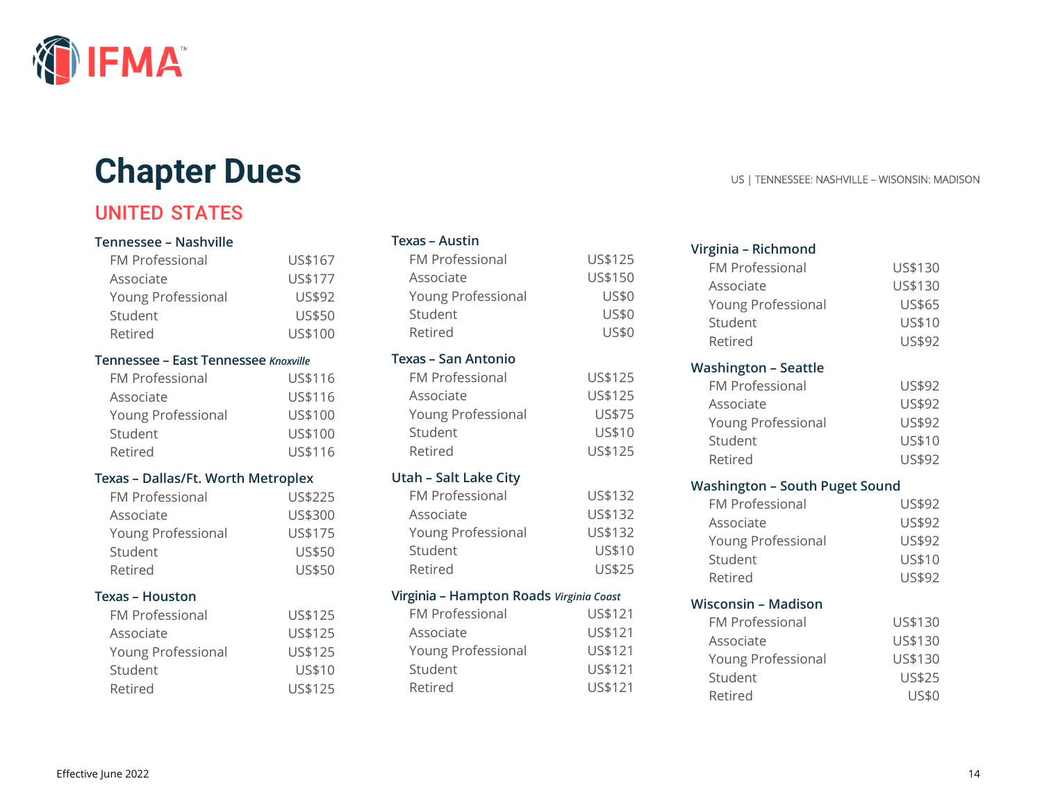

# **Chapter Dues** US | TENNESSEE: NASHVILLE – WISONSIN: MADISON

# UNITED STATES

#### **Tennessee – Nashville**

| <b>FM Professional</b> | US\$167       |
|------------------------|---------------|
| Associate              | US\$177       |
| Young Professional     | US\$92        |
| Student                | <b>US\$50</b> |
| Retired                | US\$100       |

#### **Tennessee – East Tennessee** *Knoxville*

| <b>FM Professional</b> | US\$116 |
|------------------------|---------|
| Associate              | US\$116 |
| Young Professional     | US\$100 |
| Student                | US\$100 |
| Retired                | US\$116 |

### **Texas – Dallas/Ft. Worth Metroplex**

| <b>FM Professional</b> | US\$225       |
|------------------------|---------------|
| Associate              | US\$300       |
| Young Professional     | US\$175       |
| Student                | <b>US\$50</b> |
| Retired                | <b>US\$50</b> |

#### **Texas – Houston**

| <b>FM Professional</b> | US\$125 |
|------------------------|---------|
| Associate              | US\$125 |
| Young Professional     | US\$125 |
| Student                | US\$10  |
| Retired                | US\$125 |

#### **Texas – Austin**

| <b>FM Professional</b><br>Associate<br>Young Professional<br>Student<br>Retired | US\$125<br>US\$150<br><b>US\$0</b><br><b>US\$0</b><br><b>US\$0</b> |
|---------------------------------------------------------------------------------|--------------------------------------------------------------------|
| Texas - San Antonio                                                             |                                                                    |
| <b>FM Professional</b><br>Associate<br>Young Professional<br>Student<br>Retired | US\$125<br>US\$125<br>US\$75<br>US\$10<br>US\$125                  |
| <b>Utah - Salt Lake City</b>                                                    |                                                                    |
| <b>FM Professional</b>                                                          | US\$132                                                            |
| Associate                                                                       | US\$132                                                            |
| Young Professional                                                              | US\$132                                                            |
| Student                                                                         | US\$10                                                             |
| Retired                                                                         | US\$25                                                             |
| Virginia - Hampton Roads Virginia Coast                                         |                                                                    |
| <b>FM Professional</b>                                                          | US\$121                                                            |
| Associate                                                                       | US\$121                                                            |
| Young Professional                                                              | US\$121                                                            |
| Student                                                                         | US\$121                                                            |
| Retired                                                                         | US\$121                                                            |

| Virginia - Richmond                   |         |
|---------------------------------------|---------|
| <b>FM Professional</b>                | US\$130 |
| Associate                             | US\$130 |
| Young Professional                    | US\$65  |
| Student                               | US\$10  |
| Retired                               | US\$92  |
| <b>Washington - Seattle</b>           |         |
| <b>FM Professional</b>                | US\$92  |
| Associate                             | US\$92  |
| Young Professional                    | US\$92  |
| Student                               | US\$10  |
| Retired                               | US\$92  |
| <b>Washington - South Puget Sound</b> |         |
|                                       |         |
| <b>FM Professional</b>                | US\$92  |
| Associate                             | US\$92  |
| Young Professional                    | US\$92  |
| Student                               | US\$10  |
| Retired                               | US\$92  |
| <b>Wisconsin - Madison</b>            |         |
| <b>FM Professional</b>                | US\$130 |
| Associate                             | US\$130 |
| Young Professional                    | US\$130 |
| Student                               | US\$25  |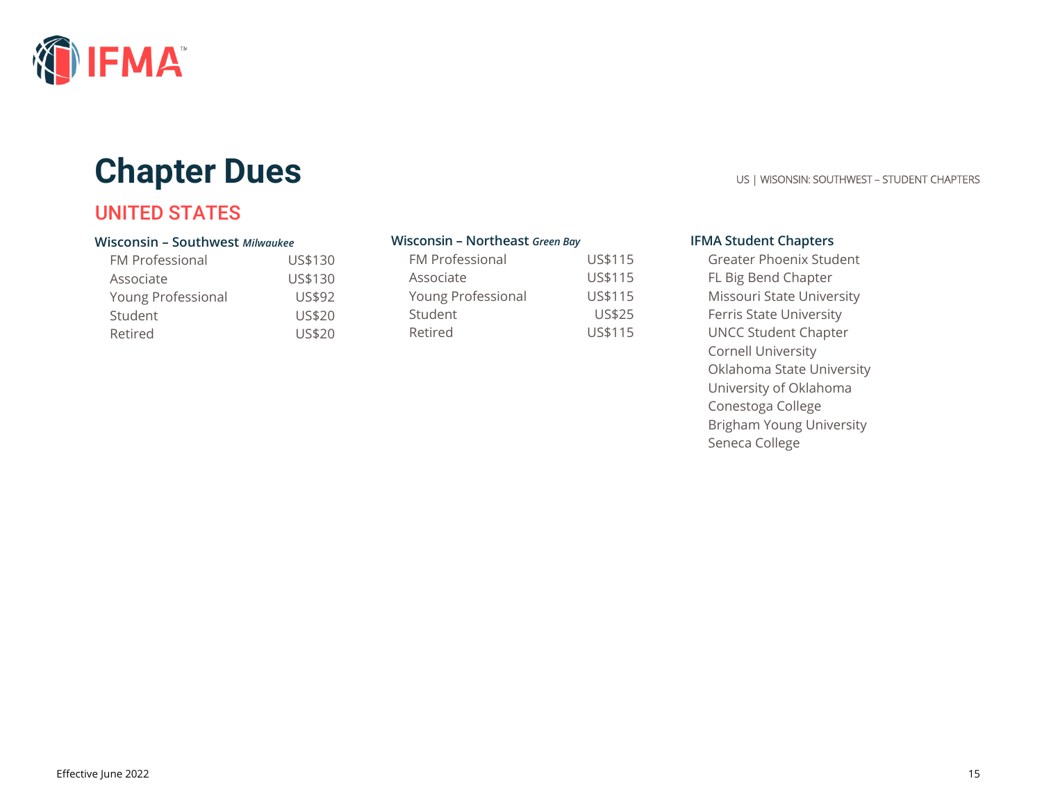

# **Chapter Dues** US | WISONSIN: SOUTHWEST – STUDENT CHAPTERS

# UNITED STATES

#### **Wisconsin – Southwest** *Milwaukee*

| <b>FM Professional</b> | US\$130       |
|------------------------|---------------|
| Associate              | US\$130       |
| Young Professional     | US\$92        |
| Student                | <b>US\$20</b> |
| Retired                | US\$20        |

#### **Wisconsin – Northeast** *Green Bay*

| <b>FM Professional</b> | US\$115        |
|------------------------|----------------|
| Associate              | US\$115        |
| Young Professional     | US\$115        |
| Student                | <b>US\$25</b>  |
| Retired                | <b>US\$115</b> |

#### **IFMA Student Chapters**

Greater Phoenix Student FL Big Bend Chapter Missouri State University Ferris State University UNCC Student Chapter Cornell University Oklahoma State University University of Oklahoma Conestoga College Brigham Young University Seneca College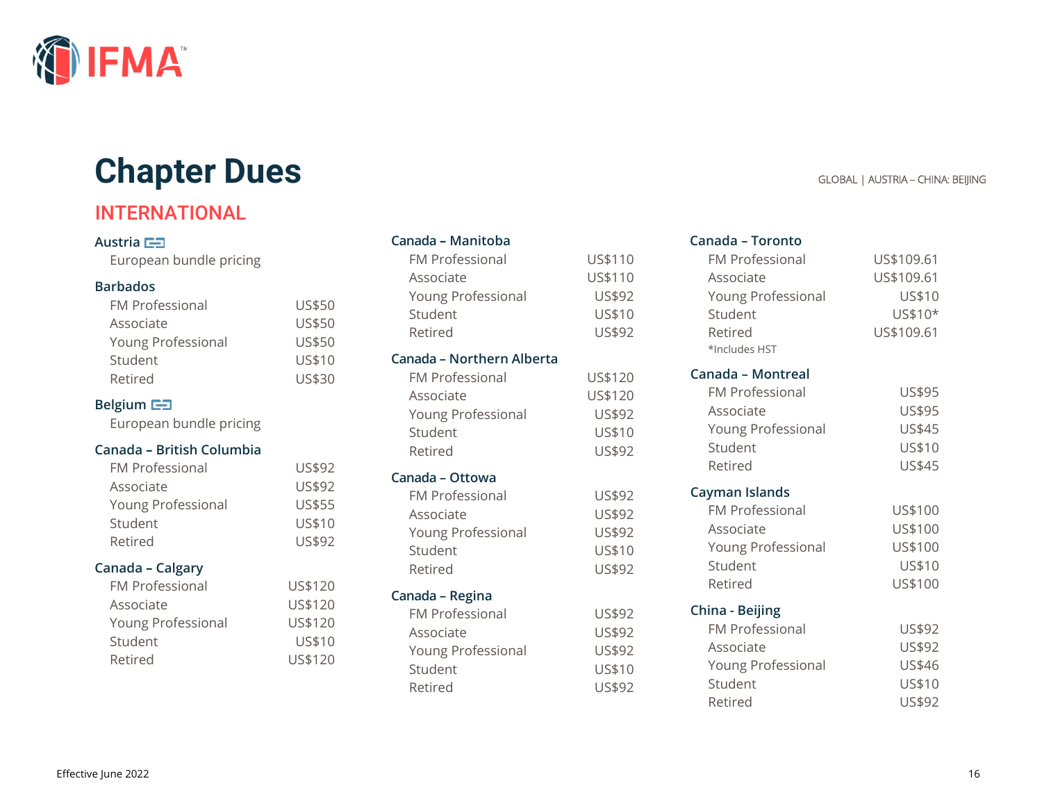

# **Chapter Dues** GLOBAL | AUSTRIA – CHINA: BEIJING

# INTERNATIONAL

#### Austria **E**

European bundle pricing

#### **Barbados**

| <b>FM Professional</b> | <b>US\$50</b> |
|------------------------|---------------|
| Associate              | <b>US\$50</b> |
| Young Professional     | <b>US\$50</b> |
| Student                | US\$10        |
| Retired                | US\$30        |

#### **Belgium**

European bundle pricing

#### **Canada – British Columbia**

| <b>FM Professional</b> | US\$92        |
|------------------------|---------------|
| Associate              | US\$92        |
| Young Professional     | <b>US\$55</b> |
| Student                | US\$10        |
| Retired                | US\$92        |

#### **Canada – Calgary**

| <b>FM Professional</b> | US\$120 |
|------------------------|---------|
| Associate              | US\$120 |
| Young Professional     | US\$120 |
| Student                | US\$10  |
| Retired                | US\$120 |
|                        |         |

| Student<br>Retired                                                                                           |
|--------------------------------------------------------------------------------------------------------------|
| Canada - Northern Alberta<br><b>FM Professional</b><br>Associate<br>Young Professional<br>Student<br>Retired |
| Canada - Ottowa<br><b>FM Professional</b><br>Associate<br><b>Young Professional</b><br>Student<br>Retired    |
| Canada - Regina<br><b>FM Professional</b><br>Associate<br>Young Professional<br>Student                      |

**Canada – Manitoba**

Young Professional US\$92

Retired US\$92

#### FM Professional US\$110 Associate US\$110 **Canada – Toronto** FM Professional US\$109.61

US\$10 US\$92

US\$120 US\$120 US\$92 US\$10 US\$92

> US\$92 US\$92 US\$92 US\$10 US\$92

> US\$92 US\$92 US\$92 US\$10

| Associate              | US\$109.61 |
|------------------------|------------|
| Young Professional     | US\$10     |
| Student                | US\$10*    |
| Retired                | US\$109.61 |
| *Includes HST          |            |
| Canada - Montreal      |            |
| <b>FM Professional</b> | US\$95     |
| Associate              | US\$95     |
| Young Professional     | US\$45     |
| Student                | US\$10     |
| Retired                | US\$45     |
| Cayman Islands         |            |
| <b>FM Professional</b> | US\$100    |
| Associate              | US\$100    |
| Young Professional     | US\$100    |
| Student                | US\$10     |
| Retired                | US\$100    |
| China - Beijing        |            |
| <b>FM Professional</b> | US\$92     |
| Associate              | US\$92     |
| Young Professional     | US\$46     |
| Student                | US\$10     |
|                        |            |
| Retired                | US\$92     |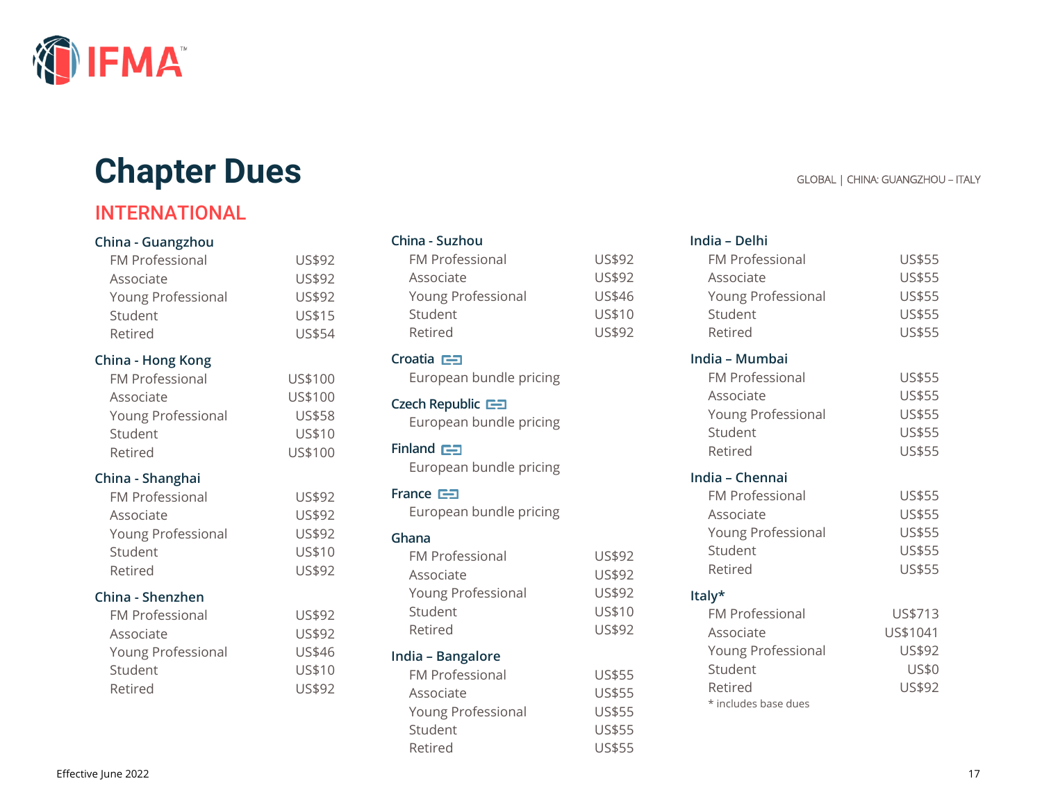

# **Chapter Dues GLOBAL | CHINA: GUANGZHOU – ITALY**

# INTERNATIONAL

#### **China - Guangzhou**

| <b>FM Professional</b> | US\$92        |
|------------------------|---------------|
| Associate              | US\$92        |
| Young Professional     | US\$92        |
| Student                | US\$15        |
| Retired                | <b>US\$54</b> |

#### **China - Hong Kong**

| <b>FM Professional</b> | US\$100       |
|------------------------|---------------|
| Associate              | US\$100       |
| Young Professional     | <b>US\$58</b> |
| Student                | US\$10        |
| Retired                | US\$100       |

### **China - Shanghai**

| FM Professional    | US\$92        |
|--------------------|---------------|
| Associate          | <b>US\$92</b> |
| Young Professional | US\$92        |
| Student            | US\$10        |
| Retired            | US\$92        |

### **China - Shenzhen**

| <b>FM Professional</b> | US\$92 |
|------------------------|--------|
| Associate              | US\$92 |
| Young Professional     | US\$46 |
| Student                | US\$10 |
| Retired                | US\$92 |

### **China - Suzhou**

| <b>FM Professional</b> | US\$92 |
|------------------------|--------|
| Associate              | US\$92 |
| Young Professional     | US\$46 |
| Student                | US\$10 |
| Retired                | US\$92 |

# **Croatia**

European bundle pricing

**Czech Republic** European bundle pricing

#### **Finland**

European bundle pricing

### **France**

European bundle pricing

#### **Ghana**

| <b>FM Professional</b> | US\$92        |
|------------------------|---------------|
| Associate              | US\$92        |
| Young Professional     | US\$92        |
| Student                | US\$10        |
| Retired                | US\$92        |
| India - Bangalore      |               |
| <b>FM Professional</b> | <b>US\$55</b> |
| $A - 2 - 1 - 1 - 1$    | IICATF        |

| Associate                 | <b>US\$55</b> |
|---------------------------|---------------|
| <b>Young Professional</b> | <b>US\$55</b> |
| Student                   | <b>US\$55</b> |
| Retired                   | <b>US\$55</b> |
|                           |               |

### **India – Delhi**

| <b>FM Professional</b> | US\$55        |
|------------------------|---------------|
| Associate              | US\$55        |
| Young Professional     | <b>US\$55</b> |
| Student                | US\$55        |
| Retired                | US\$55        |
| India - Mumbai         |               |
| <b>FM Professional</b> | US\$55        |
| Associate              | <b>US\$55</b> |
| Young Professional     | US\$55        |
| Student                | US\$55        |
| Retired                | US\$55        |
| India - Chennai        |               |
| <b>FM Professional</b> | US\$55        |
| Associate              | US\$55        |
| Young Professional     | US\$55        |
| Student                | US\$55        |
| Retired                | US\$55        |
| Italy*                 |               |
| <b>FM Professional</b> | US\$713       |
| Associate              | US\$1041      |
| Young Professional     | US\$92        |
| Student                | <b>US\$0</b>  |
| Retired                | US\$92        |
| * includes base dues   |               |
|                        |               |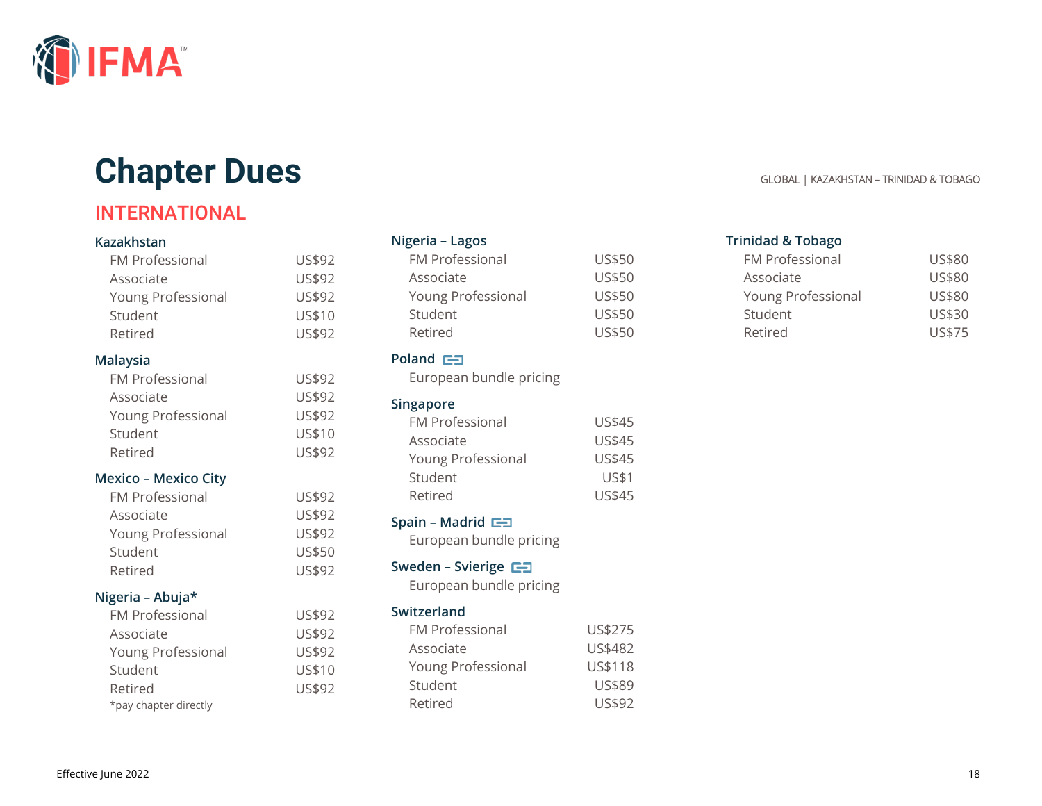

# **Chapter Dues GLOBAL | KAZAKHSTAN – TRINIDAD & TOBAGO**

# INTERNATIONAL

#### **Kazakhstan**

| <b>FM Professional</b>      | US\$92 |
|-----------------------------|--------|
| Associate                   | US\$92 |
| Young Professional          | US\$92 |
| Student                     | US\$10 |
| Retired                     | US\$92 |
| <b>Malaysia</b>             |        |
| <b>FM Professional</b>      | US\$92 |
| Associate                   | US\$92 |
| Young Professional          | US\$92 |
| Student                     | US\$10 |
| Retired                     | US\$92 |
| <b>Mexico - Mexico City</b> |        |
| <b>FM Professional</b>      | US\$92 |
| Associate                   | US\$92 |
| Young Professional          | US\$92 |
| Student                     | US\$50 |
| Retired                     | US\$92 |
| Nigeria - Abuja*            |        |
| <b>FM Professional</b>      | US\$92 |
| Associate                   | US\$92 |
| Young Professional          | US\$92 |
| Student                     | US\$10 |
| Retired                     | US\$92 |
| *pay chapter directly       |        |

#### **Nigeria – Lagos**

| FM Professional    | US\$50 |
|--------------------|--------|
| Associate          | US\$50 |
| Young Professional | US\$50 |
| Student            | US\$50 |
| Retired            | US\$50 |

### **Poland**

European bundle pricing

#### **Singapore**

| <b>FM Professional</b> | <b>US\$45</b> |
|------------------------|---------------|
| Associate              | <b>US\$45</b> |
| Young Professional     | <b>US\$45</b> |
| Student                | <b>US\$1</b>  |
| Retired                | US\$45        |

#### **Spain – Madrid**

European bundle pricing

### **Sweden – Svierige**

European bundle pricing

### **Switzerland**

| <b>FM Professional</b> | US\$275 |
|------------------------|---------|
| Associate              | US\$482 |
| Young Professional     | US\$118 |
| Student                | US\$89  |
| Retired                | US\$92  |

#### **Trinidad & Tobago**

| <b>FM Professional</b> | US\$80 |
|------------------------|--------|
| Associate              | US\$80 |
| Young Professional     | US\$80 |
| Student                | US\$30 |
| Retired                | US\$75 |